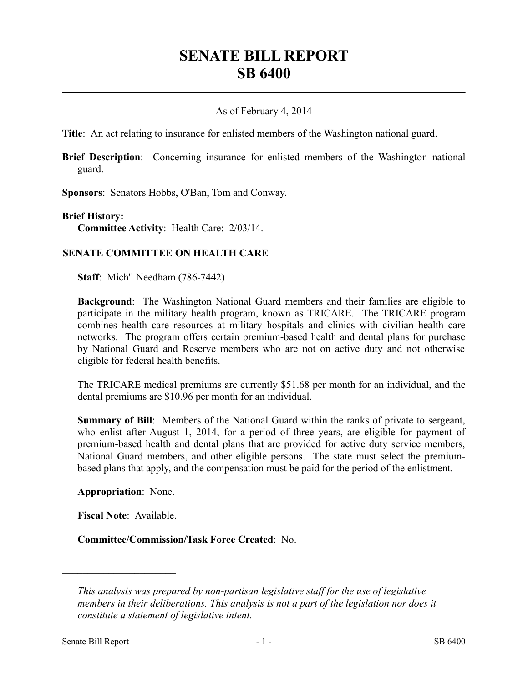## **SENATE BILL REPORT SB 6400**

## As of February 4, 2014

**Title**: An act relating to insurance for enlisted members of the Washington national guard.

**Brief Description**: Concerning insurance for enlisted members of the Washington national guard.

**Sponsors**: Senators Hobbs, O'Ban, Tom and Conway.

## **Brief History:**

**Committee Activity**: Health Care: 2/03/14.

## **SENATE COMMITTEE ON HEALTH CARE**

**Staff**: Mich'l Needham (786-7442)

**Background**: The Washington National Guard members and their families are eligible to participate in the military health program, known as TRICARE. The TRICARE program combines health care resources at military hospitals and clinics with civilian health care networks. The program offers certain premium-based health and dental plans for purchase by National Guard and Reserve members who are not on active duty and not otherwise eligible for federal health benefits.

The TRICARE medical premiums are currently \$51.68 per month for an individual, and the dental premiums are \$10.96 per month for an individual.

**Summary of Bill**: Members of the National Guard within the ranks of private to sergeant, who enlist after August 1, 2014, for a period of three years, are eligible for payment of premium-based health and dental plans that are provided for active duty service members, National Guard members, and other eligible persons. The state must select the premiumbased plans that apply, and the compensation must be paid for the period of the enlistment.

**Appropriation**: None.

**Fiscal Note**: Available.

––––––––––––––––––––––

**Committee/Commission/Task Force Created**: No.

*This analysis was prepared by non-partisan legislative staff for the use of legislative members in their deliberations. This analysis is not a part of the legislation nor does it constitute a statement of legislative intent.*